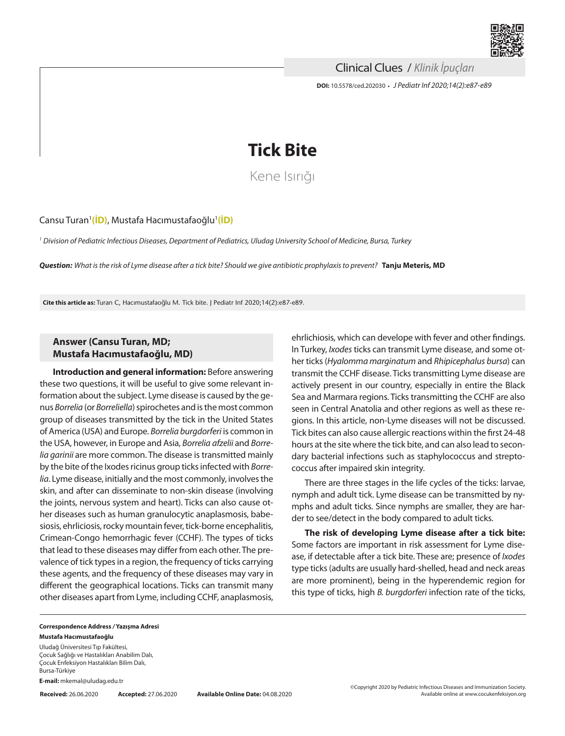

Clinical Clues / *Klinik İpuçları*

**DOI:** 10.5578/ced.202030 **•** *J Pediatr Inf 2020;14(2):e87-e89*



Kene Isırığı

Cansu Turan<sup>1</sup>[\(İD\)](https://orcid.org/0000-0003-4646-660X), Mustafa Hacımustafaoğlu<sup>1</sup>(İD)

*<sup>1</sup> Division of Pediatric Infectious Diseases, Department of Pediatrics, Uludag University School of Medicine, Bursa, Turkey*

*Question: What is the risk of Lyme disease after a tick bite? Should we give antibiotic prophylaxis to prevent?* **Tanju Meteris, MD**

**Cite this article as:** Turan C, Hacımustafaoğlu M. Tick bite. J Pediatr Inf 2020;14(2):e87-e89.

## **Answer (Cansu Turan, MD; Mustafa Hacımustafaoğlu, MD)**

**Introduction and general information:** Before answering these two questions, it will be useful to give some relevant information about the subject. Lyme disease is caused by the genus *Borrelia* (or *Borreliella*) spirochetes and is the most common group of diseases transmitted by the tick in the United States of America (USA) and Europe. *Borrelia burgdorferi* is common in the USA, however, in Europe and Asia, *Borrelia afzelii* and *Borrelia garinii* are more common. The disease is transmitted mainly by the bite of the Ixodes ricinus group ticks infected with *Borrelia*. Lyme disease, initially and the most commonly, involves the skin, and after can disseminate to non-skin disease (involving the joints, nervous system and heart). Ticks can also cause other diseases such as human granulocytic anaplasmosis, babesiosis, ehrliciosis, rocky mountain fever, tick-borne encephalitis, Crimean-Congo hemorrhagic fever (CCHF). The types of ticks that lead to these diseases may differ from each other. The prevalence of tick types in a region, the frequency of ticks carrying these agents, and the frequency of these diseases may vary in different the geographical locations. Ticks can transmit many other diseases apart from Lyme, including CCHF, anaplasmosis,

ehrlichiosis, which can develope with fever and other findings. In Turkey, *Ixodes* ticks can transmit Lyme disease, and some other ticks (*Hyalomma marginatum* and *Rhipicephalus bursa*) can transmit the CCHF disease. Ticks transmitting Lyme disease are actively present in our country, especially in entire the Black Sea and Marmara regions. Ticks transmitting the CCHF are also seen in Central Anatolia and other regions as well as these regions. In this article, non-Lyme diseases will not be discussed. Tick bites can also cause allergic reactions within the first 24-48 hours at the site where the tick bite, and can also lead to secondary bacterial infections such as staphylococcus and streptococcus after impaired skin integrity.

There are three stages in the life cycles of the ticks: larvae, nymph and adult tick. Lyme disease can be transmitted by nymphs and adult ticks. Since nymphs are smaller, they are harder to see/detect in the body compared to adult ticks.

**The risk of developing Lyme disease after a tick bite:**  Some factors are important in risk assessment for Lyme disease, if detectable after a tick bite. These are; presence of *Ixodes* type ticks (adults are usually hard-shelled, head and neck areas are more prominent), being in the hyperendemic region for this type of ticks, high *B. burgdorferi* infection rate of the ticks,

## **Correspondence Address** */* **Yazışma Adresi Mustafa Hacımustafaoğlu**

Uludağ Üniversitesi Tıp Fakültesi, Çocuk Sağlığı ve Hastalıkları Anabilim Dalı, Çocuk Enfeksiyon Hastalıkları Bilim Dalı, Bursa-Türkiye

**E-mail:** mkemal@uludag.edu.tr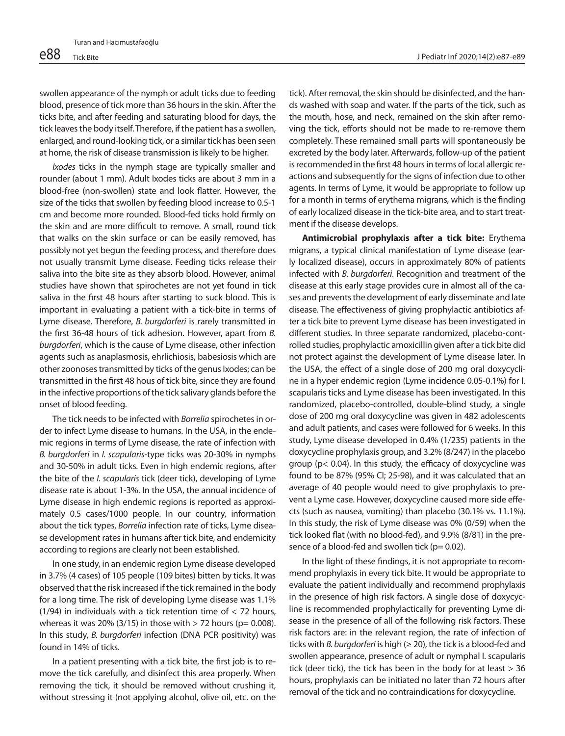swollen appearance of the nymph or adult ticks due to feeding blood, presence of tick more than 36 hours in the skin. After the ticks bite, and after feeding and saturating blood for days, the tick leaves the body itself. Therefore, if the patient has a swollen, enlarged, and round-looking tick, or a similar tick has been seen at home, the risk of disease transmission is likely to be higher.

*Ixodes* ticks in the nymph stage are typically smaller and rounder (about 1 mm). Adult Ixodes ticks are about 3 mm in a blood-free (non-swollen) state and look flatter. However, the size of the ticks that swollen by feeding blood increase to 0.5-1 cm and become more rounded. Blood-fed ticks hold firmly on the skin and are more difficult to remove. A small, round tick that walks on the skin surface or can be easily removed, has possibly not yet begun the feeding process, and therefore does not usually transmit Lyme disease. Feeding ticks release their saliva into the bite site as they absorb blood. However, animal studies have shown that spirochetes are not yet found in tick saliva in the first 48 hours after starting to suck blood. This is important in evaluating a patient with a tick-bite in terms of Lyme disease. Therefore, *B. burgdorferi* is rarely transmitted in the first 36-48 hours of tick adhesion. However, apart from *B. burgdorferi*, which is the cause of Lyme disease, other infection agents such as anaplasmosis, ehrlichiosis, babesiosis which are other zoonoses transmitted by ticks of the genus Ixodes; can be transmitted in the first 48 hous of tick bite, since they are found in the infective proportions of the tick salivary glands before the onset of blood feeding.

The tick needs to be infected with *Borrelia* spirochetes in order to infect Lyme disease to humans. In the USA, in the endemic regions in terms of Lyme disease, the rate of infection with *B. burgdorferi* in *I. scapularis*-type ticks was 20-30% in nymphs and 30-50% in adult ticks. Even in high endemic regions, after the bite of the *I. scapularis* tick (deer tick), developing of Lyme disease rate is about 1-3%. In the USA, the annual incidence of Lyme disease in high endemic regions is reported as approximately 0.5 cases/1000 people. In our country, information about the tick types, *Borrelia* infection rate of ticks, Lyme disease development rates in humans after tick bite, and endemicity according to regions are clearly not been established.

In one study, in an endemic region Lyme disease developed in 3.7% (4 cases) of 105 people (109 bites) bitten by ticks. It was observed that the risk increased if the tick remained in the body for a long time. The risk of developing Lyme disease was 1.1% (1/94) in individuals with a tick retention time of < 72 hours, whereas it was 20% (3/15) in those with  $>$  72 hours (p= 0.008). In this study, *B. burgdorferi* infection (DNA PCR positivity) was found in 14% of ticks.

In a patient presenting with a tick bite, the first job is to remove the tick carefully, and disinfect this area properly. When removing the tick, it should be removed without crushing it, without stressing it (not applying alcohol, olive oil, etc. on the

tick). After removal, the skin should be disinfected, and the hands washed with soap and water. If the parts of the tick, such as the mouth, hose, and neck, remained on the skin after removing the tick, efforts should not be made to re-remove them completely. These remained small parts will spontaneously be excreted by the body later. Afterwards, follow-up of the patient is recommended in the first 48 hours in terms of local allergic reactions and subsequently for the signs of infection due to other agents. In terms of Lyme, it would be appropriate to follow up for a month in terms of erythema migrans, which is the finding of early localized disease in the tick-bite area, and to start treatment if the disease develops.

**Antimicrobial prophylaxis after a tick bite:** Erythema migrans, a typical clinical manifestation of Lyme disease (early localized disease), occurs in approximately 80% of patients infected with *B. burgdorferi*. Recognition and treatment of the disease at this early stage provides cure in almost all of the cases and prevents the development of early disseminate and late disease. The effectiveness of giving prophylactic antibiotics after a tick bite to prevent Lyme disease has been investigated in different studies. In three separate randomized, placebo-controlled studies, prophylactic amoxicillin given after a tick bite did not protect against the development of Lyme disease later. In the USA, the effect of a single dose of 200 mg oral doxycycline in a hyper endemic region (Lyme incidence 0.05-0.1%) for I. scapularis ticks and Lyme disease has been investigated. In this randomized, placebo-controlled, double-blind study, a single dose of 200 mg oral doxycycline was given in 482 adolescents and adult patients, and cases were followed for 6 weeks. In this study, Lyme disease developed in 0.4% (1/235) patients in the doxycycline prophylaxis group, and 3.2% (8/247) in the placebo group (p< 0.04). In this study, the efficacy of doxycycline was found to be 87% (95% CI; 25-98), and it was calculated that an average of 40 people would need to give prophylaxis to prevent a Lyme case. However, doxycycline caused more side effects (such as nausea, vomiting) than placebo (30.1% vs. 11.1%). In this study, the risk of Lyme disease was 0% (0/59) when the tick looked flat (with no blood-fed), and 9.9% (8/81) in the presence of a blood-fed and swollen tick ( $p= 0.02$ ).

In the light of these findings, it is not appropriate to recommend prophylaxis in every tick bite. It would be appropriate to evaluate the patient individually and recommend prophylaxis in the presence of high risk factors. A single dose of doxycycline is recommended prophylactically for preventing Lyme disease in the presence of all of the following risk factors. These risk factors are: in the relevant region, the rate of infection of ticks with *B. burgdorferi* is high (≥ 20), the tick is a blood-fed and swollen appearance, presence of adult or nymphal I. scapularis tick (deer tick), the tick has been in the body for at least > 36 hours, prophylaxis can be initiated no later than 72 hours after removal of the tick and no contraindications for doxycycline.